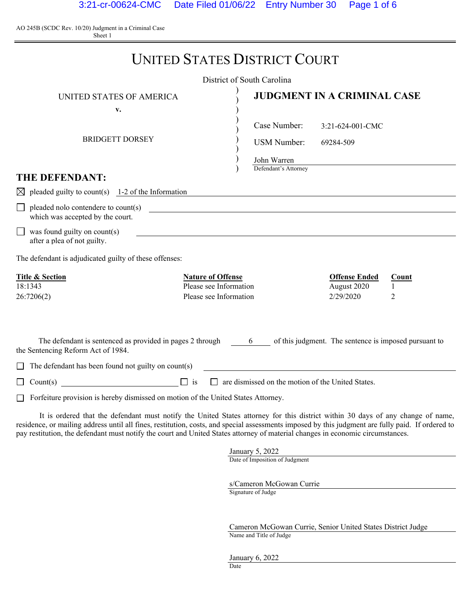AO 245B (SCDC Rev. 10/20) Judgment in a Criminal Case Sheet 1

|                                                                                                   | <b>UNITED STATES DISTRICT COURT</b>                                          |                                                                |
|---------------------------------------------------------------------------------------------------|------------------------------------------------------------------------------|----------------------------------------------------------------|
|                                                                                                   | District of South Carolina                                                   |                                                                |
| UNITED STATES OF AMERICA                                                                          |                                                                              | <b>JUDGMENT IN A CRIMINAL CASE</b>                             |
| v.                                                                                                |                                                                              |                                                                |
|                                                                                                   | Case Number:                                                                 | 3:21-624-001-CMC                                               |
| <b>BRIDGETT DORSEY</b>                                                                            | <b>USM Number:</b>                                                           | 69284-509                                                      |
|                                                                                                   | John Warren                                                                  |                                                                |
| <b>THE DEFENDANT:</b>                                                                             | Defendant's Attorney                                                         |                                                                |
| pleaded guilty to count(s) $1-2$ of the Information<br>$\boxtimes$                                |                                                                              |                                                                |
| pleaded nolo contendere to count(s)<br>which was accepted by the court.                           | <u> 1989 - Johann Stein, mars an deutscher Stein († 1989)</u>                |                                                                |
| $\Box$ was found guilty on count(s)<br>after a plea of not guilty.                                |                                                                              |                                                                |
| The defendant is adjudicated guilty of these offenses:                                            |                                                                              |                                                                |
| <b>Title &amp; Section</b><br>18:1343<br>26:7206(2)                                               | <b>Nature of Offense</b><br>Please see Information<br>Please see Information | <b>Offense Ended</b><br>Count<br>August 2020<br>2/29/2020<br>2 |
| The defendant is sentenced as provided in pages 2 through 6<br>the Sentencing Reform Act of 1984. |                                                                              | of this judgment. The sentence is imposed pursuant to          |
| The defendant has been found not guilty on $count(s)$<br>⊔                                        |                                                                              |                                                                |
| $\Box$ is<br>Count(s)                                                                             | are dismissed on the motion of the United States.                            |                                                                |
| Forfeiture provision is hereby dismissed on motion of the United States Attorney.                 |                                                                              |                                                                |

 It is ordered that the defendant must notify the United States attorney for this district within 30 days of any change of name, residence, or mailing address until all fines, restitution, costs, and special assessments imposed by this judgment are fully paid. If ordered to pay restitution, the defendant must notify the court and United States attorney of material changes in economic circumstances.

> January 5, 2022 Date of Imposition of Judgment

s/Cameron McGowan Currie

Signature of Judge

Cameron McGowan Currie, Senior United States District Judge Name and Title of Judge

January 6, 2022 Date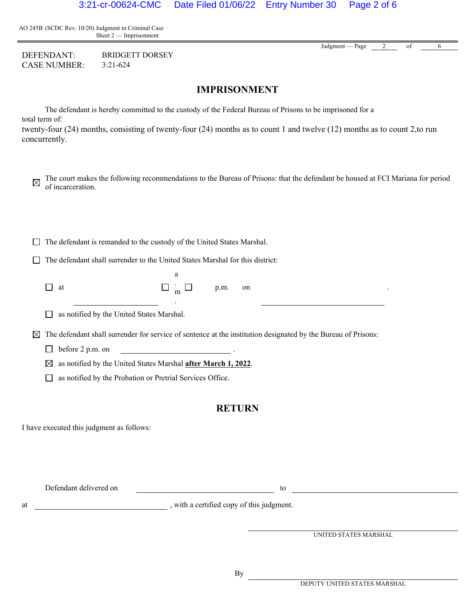AO 245B (SCDC Rev. 10/20) Judgment in Criminal Case Sheet 2 — Imprisonment

DEFENDANT: BRIDGETT DORSEY CASE NUMBER: 3:21-624

**IMPRISONMENT**

 The defendant is hereby committed to the custody of the Federal Bureau of Prisons to be imprisoned for a total term of:

twenty-four (24) months, consisting of twenty-four (24) months as to count 1 and twelve (12) months as to count 2,to run concurrently.

 $\Box$  The defendant is remanded to the custody of the United States Marshal.

 $\Box$  The defendant shall surrender to the United States Marshal for this district:

.

| $\Box$ at | $\Box$ m $\Box$ p.m. on |  |
|-----------|-------------------------|--|

as notified by the United States Marshal.

 $\boxtimes$  The defendant shall surrender for service of sentence at the institution designated by the Bureau of Prisons:

 $\Box$  before 2 p.m. on

as notified by the United States Marshal **after March 1, 2022**.

as notified by the Probation or Pretrial Services Office.

#### **RETURN**

I have executed this judgment as follows:

Defendant delivered on to the contract of the contract of the contract of the contract of the contract of the contract of the contract of the contract of the contract of the contract of the contract of the contract of the

at  $\qquad \qquad$  , with a certified copy of this judgment.

UNITED STATES MARSHAL

Judgment — Page 2 of 6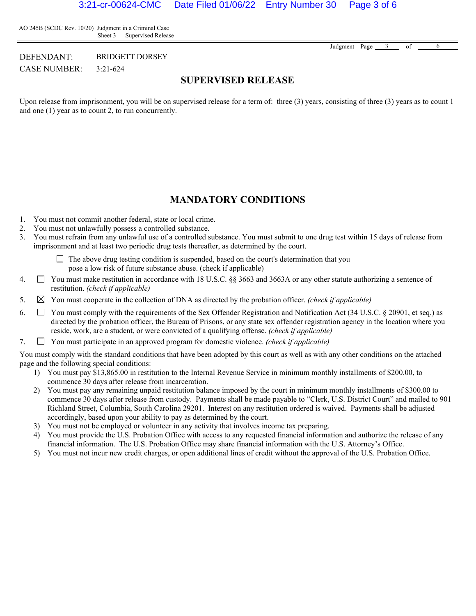AO 245B (SCDC Rev. 10/20) Judgment in a Criminal Case Sheet 3 — Supervised Release

Judgment—Page 3 of 6

DEFENDANT: BRIDGETT DORSEY CASE NUMBER: 3:21-624

### **SUPERVISED RELEASE**

Upon release from imprisonment, you will be on supervised release for a term of: three (3) years, consisting of three (3) years as to count 1 and one (1) year as to count 2, to run concurrently.

#### **MANDATORY CONDITIONS**

- 1. You must not commit another federal, state or local crime.
- 2. You must not unlawfully possess a controlled substance.
- 3. You must refrain from any unlawful use of a controlled substance. You must submit to one drug test within 15 days of release from imprisonment and at least two periodic drug tests thereafter, as determined by the court.

 $\Box$  The above drug testing condition is suspended, based on the court's determination that you pose a low risk of future substance abuse. (check if applicable)

- 4.  $\Box$  You must make restitution in accordance with 18 U.S.C. §§ 3663 and 3663A or any other statute authorizing a sentence of restitution. *(check if applicable)*
- 5. You must cooperate in the collection of DNA as directed by the probation officer. *(check if applicable)*
- 6.  $\Box$  You must comply with the requirements of the Sex Offender Registration and Notification Act (34 U.S.C. § 20901, et seq.) as directed by the probation officer, the Bureau of Prisons, or any state sex offender registration agency in the location where you reside, work, are a student, or were convicted of a qualifying offense. *(check if applicable)*
- 7. You must participate in an approved program for domestic violence. *(check if applicable)*

You must comply with the standard conditions that have been adopted by this court as well as with any other conditions on the attached page and the following special conditions:

- 1) You must pay \$13,865.00 in restitution to the Internal Revenue Service in minimum monthly installments of \$200.00, to commence 30 days after release from incarceration.
- 2) You must pay any remaining unpaid restitution balance imposed by the court in minimum monthly installments of \$300.00 to commence 30 days after release from custody. Payments shall be made payable to "Clerk, U.S. District Court" and mailed to 901 Richland Street, Columbia, South Carolina 29201. Interest on any restitution ordered is waived. Payments shall be adjusted accordingly, based upon your ability to pay as determined by the court.
- 3) You must not be employed or volunteer in any activity that involves income tax preparing.
- 4) You must provide the U.S. Probation Office with access to any requested financial information and authorize the release of any financial information. The U.S. Probation Office may share financial information with the U.S. Attorney's Office.
- 5) You must not incur new credit charges, or open additional lines of credit without the approval of the U.S. Probation Office.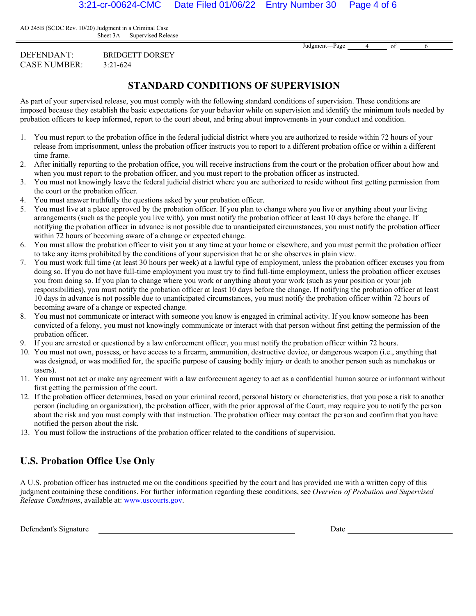AO 245B (SCDC Rev. 10/20) Judgment in a Criminal Case Sheet 3A — Supervised Release

Judgment—Page 4 of 6

DEFENDANT: BRIDGETT DORSEY CASE NUMBER: 3:21-624

## **STANDARD CONDITIONS OF SUPERVISION**

As part of your supervised release, you must comply with the following standard conditions of supervision. These conditions are imposed because they establish the basic expectations for your behavior while on supervision and identify the minimum tools needed by probation officers to keep informed, report to the court about, and bring about improvements in your conduct and condition.

- 1. You must report to the probation office in the federal judicial district where you are authorized to reside within 72 hours of your release from imprisonment, unless the probation officer instructs you to report to a different probation office or within a different time frame.
- 2. After initially reporting to the probation office, you will receive instructions from the court or the probation officer about how and when you must report to the probation officer, and you must report to the probation officer as instructed.
- 3. You must not knowingly leave the federal judicial district where you are authorized to reside without first getting permission from the court or the probation officer.
- 4. You must answer truthfully the questions asked by your probation officer.
- 5. You must live at a place approved by the probation officer. If you plan to change where you live or anything about your living arrangements (such as the people you live with), you must notify the probation officer at least 10 days before the change. If notifying the probation officer in advance is not possible due to unanticipated circumstances, you must notify the probation officer within 72 hours of becoming aware of a change or expected change.
- 6. You must allow the probation officer to visit you at any time at your home or elsewhere, and you must permit the probation officer to take any items prohibited by the conditions of your supervision that he or she observes in plain view.
- 7. You must work full time (at least 30 hours per week) at a lawful type of employment, unless the probation officer excuses you from doing so. If you do not have full-time employment you must try to find full-time employment, unless the probation officer excuses you from doing so. If you plan to change where you work or anything about your work (such as your position or your job responsibilities), you must notify the probation officer at least 10 days before the change. If notifying the probation officer at least 10 days in advance is not possible due to unanticipated circumstances, you must notify the probation officer within 72 hours of becoming aware of a change or expected change.
- 8. You must not communicate or interact with someone you know is engaged in criminal activity. If you know someone has been convicted of a felony, you must not knowingly communicate or interact with that person without first getting the permission of the probation officer.
- 9. If you are arrested or questioned by a law enforcement officer, you must notify the probation officer within 72 hours.
- 10. You must not own, possess, or have access to a firearm, ammunition, destructive device, or dangerous weapon (i.e., anything that was designed, or was modified for, the specific purpose of causing bodily injury or death to another person such as nunchakus or tasers).
- 11. You must not act or make any agreement with a law enforcement agency to act as a confidential human source or informant without first getting the permission of the court.
- 12. If the probation officer determines, based on your criminal record, personal history or characteristics, that you pose a risk to another person (including an organization), the probation officer, with the prior approval of the Court, may require you to notify the person about the risk and you must comply with that instruction. The probation officer may contact the person and confirm that you have notified the person about the risk.
- 13. You must follow the instructions of the probation officer related to the conditions of supervision.

# **U.S. Probation Office Use Only**

A U.S. probation officer has instructed me on the conditions specified by the court and has provided me with a written copy of this judgment containing these conditions. For further information regarding these conditions, see *Overview of Probation and Supervised Release Conditions*, available at: www.uscourts.gov.

Defendant's Signature Date Date of the United States of the Date of the Date of the Date of the Date of the United States of the United States of the United States of the United States of the United States of the United St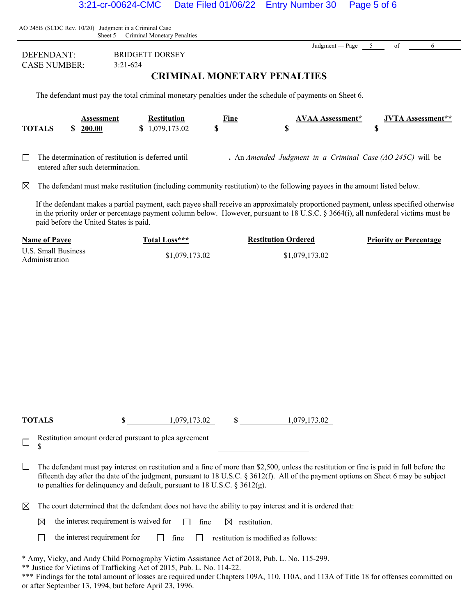| AO 245B (SCDC Rev. 10/20) Judgment in a Criminal Case<br>Sheet 5 — Criminal Monetary Penalties                                                                                                                                                                                                                       |                                   |                                                    |                                    |      |                                                                                                                           |         |                          |
|----------------------------------------------------------------------------------------------------------------------------------------------------------------------------------------------------------------------------------------------------------------------------------------------------------------------|-----------------------------------|----------------------------------------------------|------------------------------------|------|---------------------------------------------------------------------------------------------------------------------------|---------|--------------------------|
| <b>DEFENDANT:</b><br><b>CASE NUMBER:</b>                                                                                                                                                                                                                                                                             |                                   | <b>BRIDGETT DORSEY</b><br>$3:21-624$               | <b>CRIMINAL MONETARY PENALTIES</b> |      | Judgment — Page                                                                                                           | 5<br>of | 6                        |
|                                                                                                                                                                                                                                                                                                                      |                                   |                                                    |                                    |      | The defendant must pay the total criminal monetary penalties under the schedule of payments on Sheet 6.                   |         |                          |
| <b>TOTALS</b>                                                                                                                                                                                                                                                                                                        | Assessment<br>\$200.00            | \$1,079,173.02                                     | <b>Restitution</b><br>\$           | Fine | AVAA Assessment*<br>S                                                                                                     | \$      | <b>JVTA Assessment**</b> |
|                                                                                                                                                                                                                                                                                                                      | entered after such determination. | The determination of restitution is deferred until |                                    |      | . An Amended Judgment in a Criminal Case (AO $245C$ ) will be                                                             |         |                          |
| $\boxtimes$                                                                                                                                                                                                                                                                                                          |                                   |                                                    |                                    |      | The defendant must make restitution (including community restitution) to the following payees in the amount listed below. |         |                          |
| If the defendant makes a partial payment, each payee shall receive an approximately proportioned payment, unless specified otherwise<br>in the priority order or percentage payment column below. However, pursuant to 18 U.S.C. § 3664(i), all nonfederal victims must be<br>paid before the United States is paid. |                                   |                                                    |                                    |      |                                                                                                                           |         |                          |
| <b>Restitution Ordered</b><br><b>Name of Payee</b><br>Total Loss***<br><b>Priority or Percentage</b>                                                                                                                                                                                                                 |                                   |                                                    |                                    |      |                                                                                                                           |         |                          |
| <b>U.S. Small Business</b><br>Administration                                                                                                                                                                                                                                                                         |                                   |                                                    | \$1,079,173.02                     |      | \$1,079,173.02                                                                                                            |         |                          |
| TOTALS                                                                                                                                                                                                                                                                                                               |                                   | \$                                                 | 1,079,173.02                       | \$   | 1,079,173.02                                                                                                              |         |                          |

Restitution amount ordered pursuant to plea agreement \$  $\Box$ 

 $\Box$  The defendant must pay interest on restitution and a fine of more than \$2,500, unless the restitution or fine is paid in full before the fifteenth day after the date of the judgment, pursuant to 18 U.S.C. § 3612(f). All of the payment options on Sheet 6 may be subject to penalties for delinquency and default, pursuant to 18 U.S.C. § 3612(g).

 $\boxtimes$  The court determined that the defendant does not have the ability to pay interest and it is ordered that:

the interest requirement is waived for  $\Box$  fine  $\boxtimes$  restitution. ⊠

the interest requirement for  $\Box$  fine  $\Box$  restitution is modified as follows:  $\Box$ 

\* Amy, Vicky, and Andy Child Pornography Victim Assistance Act of 2018, Pub. L. No. 115-299.

\*\* Justice for Victims of Trafficking Act of 2015, Pub. L. No. 114-22.

\*\*\* Findings for the total amount of losses are required under Chapters 109A, 110, 110A, and 113A of Title 18 for offenses committed on or after September 13, 1994, but before April 23, 1996.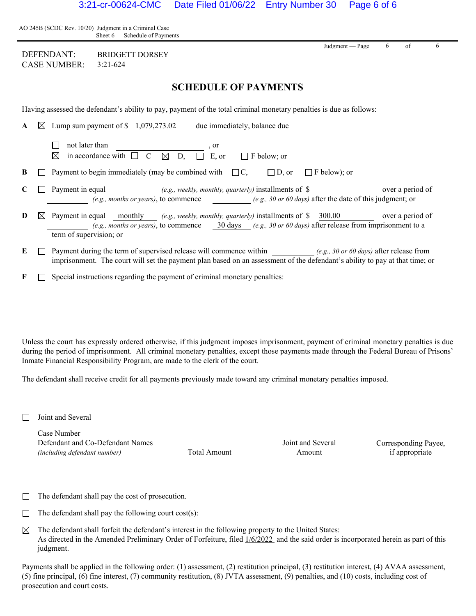| AO 245B (SCDC Rev. 10/20) Judgment in a Criminal Case |                                  |
|-------------------------------------------------------|----------------------------------|
|                                                       | Sheet $6$ — Schedule of Payments |

| DEFENDANT:          | <b>BRIDGETT DORSEY</b> |
|---------------------|------------------------|
| <b>CASE NUMBER:</b> | $3:21-624$             |

## **SCHEDULE OF PAYMENTS**

Having assessed the defendant's ability to pay, payment of the total criminal monetary penalties is due as follows:

| A |           | $\boxtimes$ Lump sum payment of \$ 1,079,273.02<br>due immediately, balance due                                                                                                                                                                                                       |
|---|-----------|---------------------------------------------------------------------------------------------------------------------------------------------------------------------------------------------------------------------------------------------------------------------------------------|
|   |           | not later than<br>, or<br>in accordance with $\Box$ C<br>E. or<br>$\bowtie$<br>⊠<br>D.<br>$\Box$ F below: or                                                                                                                                                                          |
| B |           | Payment to begin immediately (may be combined with $\Box C$ ,<br>$\Box$ F below); or<br>$\Box$ D. or                                                                                                                                                                                  |
|   |           | Payment in equal (e.g., weekly, monthly, quarterly) installments of \$<br>over a period of<br>(e.g., months or years), to commence (e.g., 30 or 60 days) after the date of this judgment; or                                                                                          |
| D | $\bowtie$ | Payment in equal monthly <i>(e.g., weekly, monthly, quarterly)</i> installments of \$ 300.00 over a period of<br>(e.g., months or years), to commence $\qquad$ $\frac{30 \text{ days}}{e \text{.g}}$ , 30 or 60 days) after release from imprisonment to a<br>term of supervision; or |
| E |           | Payment during the term of supervised release will commence within $(e.g., 30 or 60 \, days)$ after release from<br>imprisonment. The court will set the payment plan based on an assessment of the defendant's ability to pay at that time; or                                       |

 $\mathbf{F} \quad \Box \quad$  Special instructions regarding the payment of criminal monetary penalties:

Unless the court has expressly ordered otherwise, if this judgment imposes imprisonment, payment of criminal monetary penalties is due during the period of imprisonment. All criminal monetary penalties, except those payments made through the Federal Bureau of Prisons' Inmate Financial Responsibility Program, are made to the clerk of the court.

The defendant shall receive credit for all payments previously made toward any criminal monetary penalties imposed.

 $\Box$  Joint and Several

Case Number Defendant and Co-Defendant Names *(including defendant number)* Total Amount

Joint and Several Amount

Corresponding Payee, if appropriate

Judgment — Page  $6$  of

- $\Box$  The defendant shall pay the cost of prosecution.
- $\Box$  The defendant shall pay the following court cost(s):
- $\boxtimes$  The defendant shall forfeit the defendant's interest in the following property to the United States: As directed in the Amended Preliminary Order of Forfeiture, filed  $1/6/2022$  and the said order is incorporated herein as part of this judgment.

Payments shall be applied in the following order: (1) assessment, (2) restitution principal, (3) restitution interest, (4) AVAA assessment, (5) fine principal, (6) fine interest, (7) community restitution, (8) JVTA assessment, (9) penalties, and (10) costs, including cost of prosecution and court costs.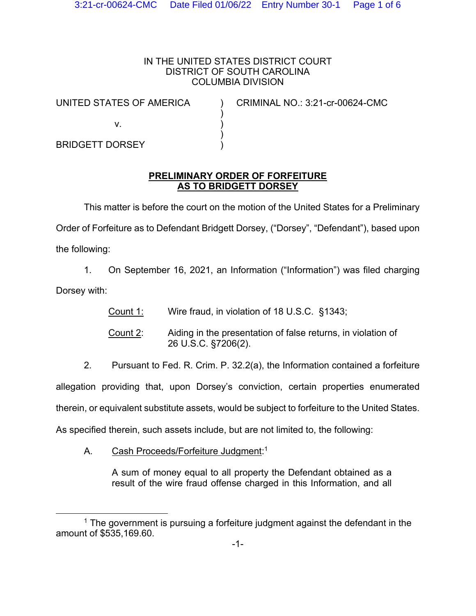### IN THE UNITED STATES DISTRICT COURT DISTRICT OF SOUTH CAROLINA COLUMBIA DIVISION

) ) ) )

UNITED STATES OF AMERICA

) CRIMINAL NO.: 3:21-cr-00624-CMC

v.

BRIDGETT DORSEY

## **PRELIMINARY ORDER OF FORFEITURE AS TO BRIDGETT DORSEY**

 This matter is before the court on the motion of the United States for a Preliminary Order of Forfeiture as to Defendant Bridgett Dorsey, ("Dorsey", "Defendant"), based upon the following:

1. On September 16, 2021, an Information ("Information") was filed charging Dorsey with:

Count 1: Wire fraud, in violation of 18 U.S.C. §1343;

 Count 2: Aiding in the presentation of false returns, in violation of 26 U.S.C. §7206(2).

2. Pursuant to Fed. R. Crim. P. 32.2(a), the Information contained a forfeiture

allegation providing that, upon Dorsey's conviction, certain properties enumerated

therein, or equivalent substitute assets, would be subject to forfeiture to the United States.

As specified therein, such assets include, but are not limited to, the following:

A. Cash Proceeds/Forfeiture Judgment:<sup>1</sup>

A sum of money equal to all property the Defendant obtained as a result of the wire fraud offense charged in this Information, and all

 $1$  The government is pursuing a forfeiture judgment against the defendant in the amount of \$535,169.60.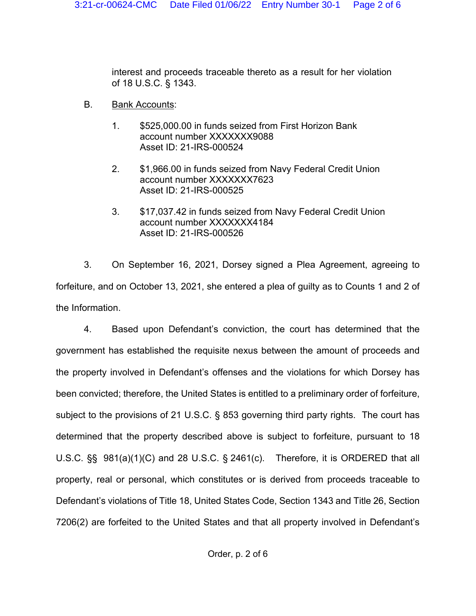interest and proceeds traceable thereto as a result for her violation of 18 U.S.C. § 1343.

- B. Bank Accounts:
	- 1. \$525,000.00 in funds seized from First Horizon Bank account number XXXXXXX9088 Asset ID: 21-IRS-000524
	- 2. \$1,966.00 in funds seized from Navy Federal Credit Union account number XXXXXXX7623 Asset ID: 21-IRS-000525
	- 3. \$17,037.42 in funds seized from Navy Federal Credit Union account number XXXXXXX4184 Asset ID: 21-IRS-000526

 3. On September 16, 2021, Dorsey signed a Plea Agreement, agreeing to forfeiture, and on October 13, 2021, she entered a plea of guilty as to Counts 1 and 2 of the Information.

 4. Based upon Defendant's conviction, the court has determined that the government has established the requisite nexus between the amount of proceeds and the property involved in Defendant's offenses and the violations for which Dorsey has been convicted; therefore, the United States is entitled to a preliminary order of forfeiture, subject to the provisions of 21 U.S.C. § 853 governing third party rights. The court has determined that the property described above is subject to forfeiture, pursuant to 18 U.S.C. §§ 981(a)(1)(C) and 28 U.S.C. § 2461(c). Therefore, it is ORDERED that all property, real or personal, which constitutes or is derived from proceeds traceable to Defendant's violations of Title 18, United States Code, Section 1343 and Title 26, Section 7206(2) are forfeited to the United States and that all property involved in Defendant's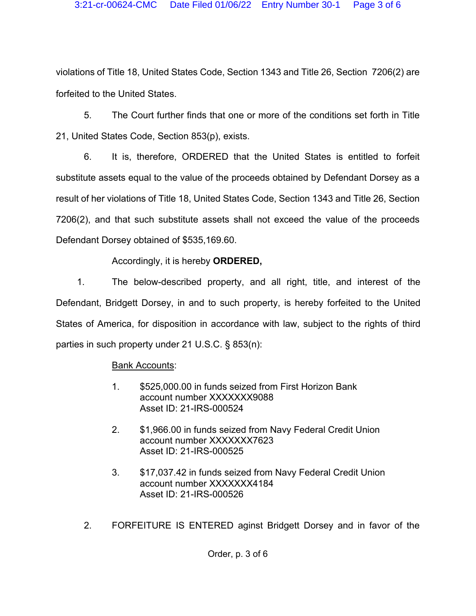violations of Title 18, United States Code, Section 1343 and Title 26, Section 7206(2) are forfeited to the United States.

 5. The Court further finds that one or more of the conditions set forth in Title 21, United States Code, Section 853(p), exists.

 6. It is, therefore, ORDERED that the United States is entitled to forfeit substitute assets equal to the value of the proceeds obtained by Defendant Dorsey as a result of her violations of Title 18, United States Code, Section 1343 and Title 26, Section 7206(2), and that such substitute assets shall not exceed the value of the proceeds Defendant Dorsey obtained of \$535,169.60.

# Accordingly, it is hereby **ORDERED,**

1. The below-described property, and all right, title, and interest of the Defendant, Bridgett Dorsey, in and to such property, is hereby forfeited to the United States of America, for disposition in accordance with law, subject to the rights of third parties in such property under 21 U.S.C. § 853(n):

# Bank Accounts:

- 1. \$525,000.00 in funds seized from First Horizon Bank account number XXXXXXX9088 Asset ID: 21-IRS-000524
- 2. \$1,966.00 in funds seized from Navy Federal Credit Union account number XXXXXXX7623 Asset ID: 21-IRS-000525
- 3. \$17,037.42 in funds seized from Navy Federal Credit Union account number XXXXXXX4184 Asset ID: 21-IRS-000526
- 2. FORFEITURE IS ENTERED aginst Bridgett Dorsey and in favor of the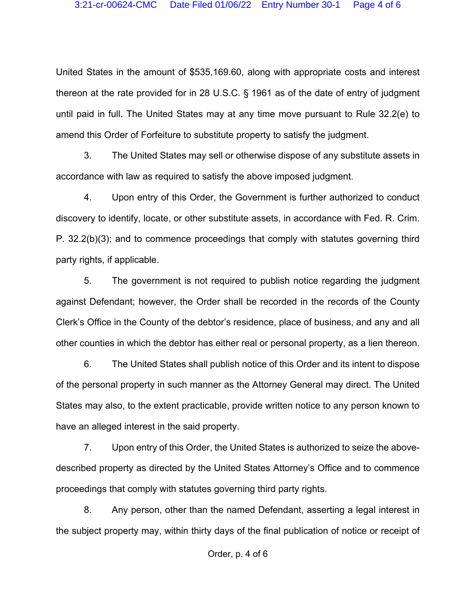United States in the amount of \$535,169.60, along with appropriate costs and interest thereon at the rate provided for in 28 U.S.C. § 1961 as of the date of entry of judgment until paid in full. The United States may at any time move pursuant to Rule 32.2(e) to amend this Order of Forfeiture to substitute property to satisfy the judgment.

 3. The United States may sell or otherwise dispose of any substitute assets in accordance with law as required to satisfy the above imposed judgment.

 4. Upon entry of this Order, the Government is further authorized to conduct discovery to identify, locate, or other substitute assets, in accordance with Fed. R. Crim. P. 32.2(b)(3); and to commence proceedings that comply with statutes governing third party rights, if applicable.

 5. The government is not required to publish notice regarding the judgment against Defendant; however, the Order shall be recorded in the records of the County Clerk's Office in the County of the debtor's residence, place of business, and any and all other counties in which the debtor has either real or personal property, as a lien thereon.

 6. The United States shall publish notice of this Order and its intent to dispose of the personal property in such manner as the Attorney General may direct. The United States may also, to the extent practicable, provide written notice to any person known to have an alleged interest in the said property.

 7. Upon entry of this Order, the United States is authorized to seize the abovedescribed property as directed by the United States Attorney's Office and to commence proceedings that comply with statutes governing third party rights.

 8. Any person, other than the named Defendant, asserting a legal interest in the subject property may, within thirty days of the final publication of notice or receipt of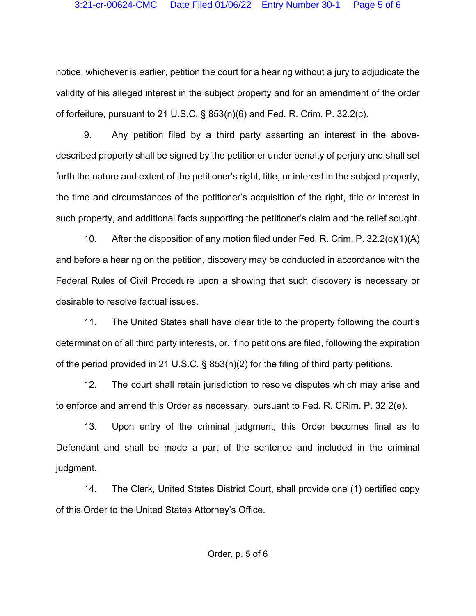notice, whichever is earlier, petition the court for a hearing without a jury to adjudicate the validity of his alleged interest in the subject property and for an amendment of the order of forfeiture, pursuant to 21 U.S.C.  $\S$  853(n)(6) and Fed. R. Crim. P. 32.2(c).

 9. Any petition filed by a third party asserting an interest in the abovedescribed property shall be signed by the petitioner under penalty of perjury and shall set forth the nature and extent of the petitioner's right, title, or interest in the subject property, the time and circumstances of the petitioner's acquisition of the right, title or interest in such property, and additional facts supporting the petitioner's claim and the relief sought.

 10. After the disposition of any motion filed under Fed. R. Crim. P. 32.2(c)(1)(A) and before a hearing on the petition, discovery may be conducted in accordance with the Federal Rules of Civil Procedure upon a showing that such discovery is necessary or desirable to resolve factual issues.

 11. The United States shall have clear title to the property following the court's determination of all third party interests, or, if no petitions are filed, following the expiration of the period provided in 21 U.S.C. § 853(n)(2) for the filing of third party petitions.

 12. The court shall retain jurisdiction to resolve disputes which may arise and to enforce and amend this Order as necessary, pursuant to Fed. R. CRim. P. 32.2(e).

 13. Upon entry of the criminal judgment, this Order becomes final as to Defendant and shall be made a part of the sentence and included in the criminal judgment.

 14. The Clerk, United States District Court, shall provide one (1) certified copy of this Order to the United States Attorney's Office.